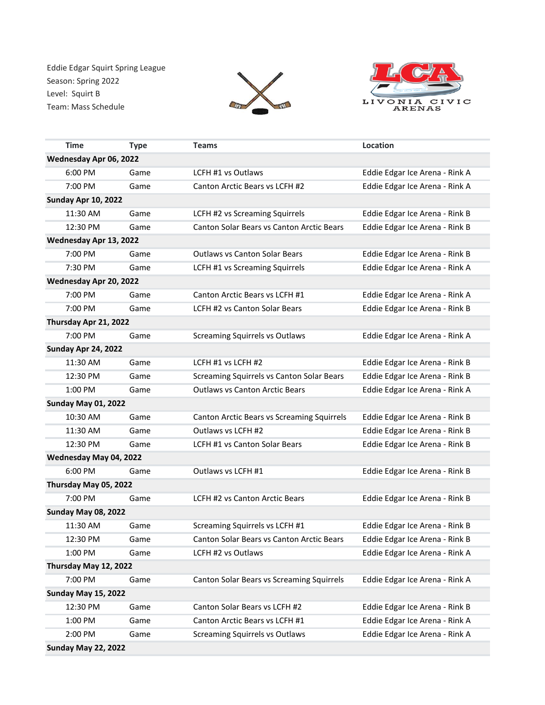Eddie Edgar Squirt Spring League Season: Spring 2022 Level: Squirt B Team: Mass Schedule





|                            | <b>Time</b>                | <b>Type</b> | <b>Teams</b>                               | Location                       |  |  |
|----------------------------|----------------------------|-------------|--------------------------------------------|--------------------------------|--|--|
| Wednesday Apr 06, 2022     |                            |             |                                            |                                |  |  |
|                            | 6:00 PM                    | Game        | LCFH #1 vs Outlaws                         | Eddie Edgar Ice Arena - Rink A |  |  |
|                            | 7:00 PM                    | Game        | Canton Arctic Bears vs LCFH #2             | Eddie Edgar Ice Arena - Rink A |  |  |
| <b>Sunday Apr 10, 2022</b> |                            |             |                                            |                                |  |  |
|                            | 11:30 AM                   | Game        | LCFH #2 vs Screaming Squirrels             | Eddie Edgar Ice Arena - Rink B |  |  |
|                            | 12:30 PM                   | Game        | Canton Solar Bears vs Canton Arctic Bears  | Eddie Edgar Ice Arena - Rink B |  |  |
| Wednesday Apr 13, 2022     |                            |             |                                            |                                |  |  |
|                            | 7:00 PM                    | Game        | <b>Outlaws vs Canton Solar Bears</b>       | Eddie Edgar Ice Arena - Rink B |  |  |
|                            | 7:30 PM                    | Game        | LCFH #1 vs Screaming Squirrels             | Eddie Edgar Ice Arena - Rink A |  |  |
| Wednesday Apr 20, 2022     |                            |             |                                            |                                |  |  |
|                            | 7:00 PM                    | Game        | Canton Arctic Bears vs LCFH #1             | Eddie Edgar Ice Arena - Rink A |  |  |
|                            | 7:00 PM                    | Game        | <b>LCFH #2 vs Canton Solar Bears</b>       | Eddie Edgar Ice Arena - Rink B |  |  |
| Thursday Apr 21, 2022      |                            |             |                                            |                                |  |  |
|                            | 7:00 PM                    | Game        | <b>Screaming Squirrels vs Outlaws</b>      | Eddie Edgar Ice Arena - Rink A |  |  |
|                            | Sunday Apr 24, 2022        |             |                                            |                                |  |  |
|                            | 11:30 AM                   | Game        | LCFH #1 vs LCFH #2                         | Eddie Edgar Ice Arena - Rink B |  |  |
|                            | 12:30 PM                   | Game        | Screaming Squirrels vs Canton Solar Bears  | Eddie Edgar Ice Arena - Rink B |  |  |
|                            | 1:00 PM                    | Game        | <b>Outlaws vs Canton Arctic Bears</b>      | Eddie Edgar Ice Arena - Rink A |  |  |
|                            | <b>Sunday May 01, 2022</b> |             |                                            |                                |  |  |
|                            | 10:30 AM                   | Game        | Canton Arctic Bears vs Screaming Squirrels | Eddie Edgar Ice Arena - Rink B |  |  |
|                            | 11:30 AM                   | Game        | Outlaws vs LCFH #2                         | Eddie Edgar Ice Arena - Rink B |  |  |
|                            | 12:30 PM                   | Game        | LCFH #1 vs Canton Solar Bears              | Eddie Edgar Ice Arena - Rink B |  |  |
| Wednesday May 04, 2022     |                            |             |                                            |                                |  |  |
|                            | 6:00 PM                    | Game        | Outlaws vs LCFH #1                         | Eddie Edgar Ice Arena - Rink B |  |  |
|                            | Thursday May 05, 2022      |             |                                            |                                |  |  |
|                            | 7:00 PM                    | Game        | LCFH #2 vs Canton Arctic Bears             | Eddie Edgar Ice Arena - Rink B |  |  |
|                            | <b>Sunday May 08, 2022</b> |             |                                            |                                |  |  |
|                            | 11:30 AM                   | Game        | Screaming Squirrels vs LCFH #1             | Eddie Edgar Ice Arena - Rink B |  |  |
|                            | 12:30 PM                   | Game        | Canton Solar Bears vs Canton Arctic Bears  | Eddie Edgar Ice Arena - Rink B |  |  |
|                            | 1:00 PM                    | Game        | LCFH #2 vs Outlaws                         | Eddie Edgar Ice Arena - Rink A |  |  |
| Thursday May 12, 2022      |                            |             |                                            |                                |  |  |
|                            | 7:00 PM                    | Game        | Canton Solar Bears vs Screaming Squirrels  | Eddie Edgar Ice Arena - Rink A |  |  |
| <b>Sunday May 15, 2022</b> |                            |             |                                            |                                |  |  |
|                            | 12:30 PM                   | Game        | Canton Solar Bears vs LCFH #2              | Eddie Edgar Ice Arena - Rink B |  |  |
|                            | 1:00 PM                    | Game        | Canton Arctic Bears vs LCFH #1             | Eddie Edgar Ice Arena - Rink A |  |  |
|                            | 2:00 PM                    | Game        | <b>Screaming Squirrels vs Outlaws</b>      | Eddie Edgar Ice Arena - Rink A |  |  |
|                            | <b>Sunday May 22, 2022</b> |             |                                            |                                |  |  |